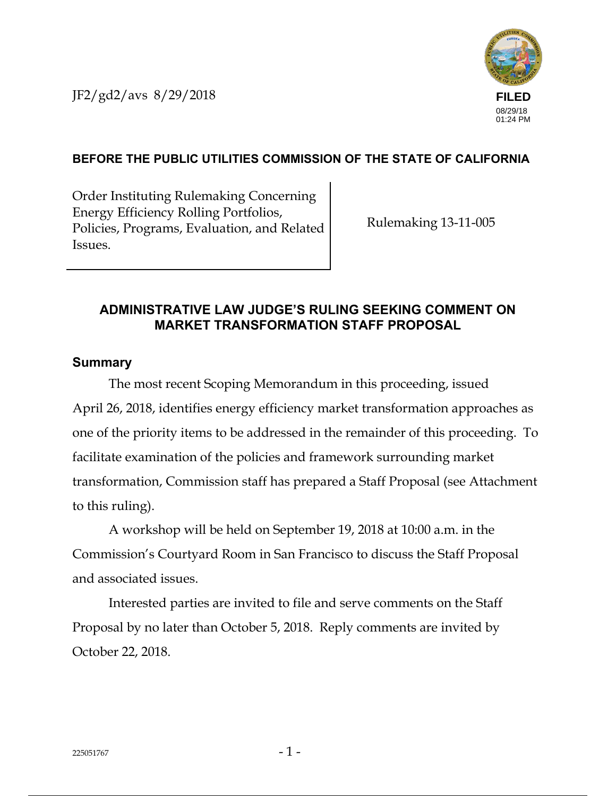JF2/gd2/avs 8/29/2018



## **BEFORE THE PUBLIC UTILITIES COMMISSION OF THE STATE OF CALIFORNIA**

Order Instituting Rulemaking Concerning Energy Efficiency Rolling Portfolios, Policies, Programs, Evaluation, and Related Issues.

Rulemaking 13-11-005

## **ADMINISTRATIVE LAW JUDGE'S RULING SEEKING COMMENT ON MARKET TRANSFORMATION STAFF PROPOSAL**

#### **Summary**

The most recent Scoping Memorandum in this proceeding, issued April 26, 2018, identifies energy efficiency market transformation approaches as one of the priority items to be addressed in the remainder of this proceeding. To facilitate examination of the policies and framework surrounding market transformation, Commission staff has prepared a Staff Proposal (see Attachment to this ruling).

A workshop will be held on September 19, 2018 at 10:00 a.m. in the Commission's Courtyard Room in San Francisco to discuss the Staff Proposal and associated issues.

Interested parties are invited to file and serve comments on the Staff Proposal by no later than October 5, 2018. Reply comments are invited by October 22, 2018.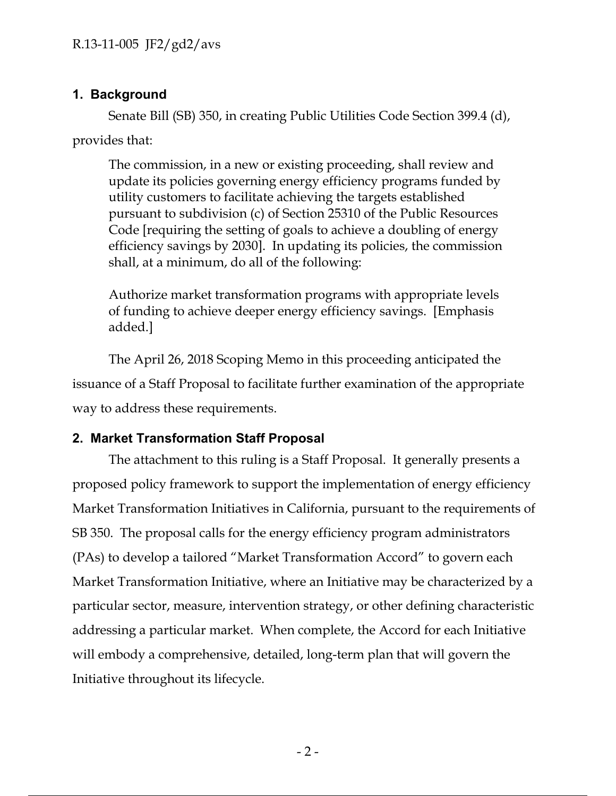## **1. Background**

Senate Bill (SB) 350, in creating Public Utilities Code Section 399.4 (d), provides that:

The commission, in a new or existing proceeding, shall review and update its policies governing energy efficiency programs funded by utility customers to facilitate achieving the targets established pursuant to subdivision (c) of Section 25310 of the Public Resources Code [requiring the setting of goals to achieve a doubling of energy efficiency savings by 2030]. In updating its policies, the commission shall, at a minimum, do all of the following:

Authorize market transformation programs with appropriate levels of funding to achieve deeper energy efficiency savings. [Emphasis added.]

The April 26, 2018 Scoping Memo in this proceeding anticipated the issuance of a Staff Proposal to facilitate further examination of the appropriate way to address these requirements.

## **2. Market Transformation Staff Proposal**

The attachment to this ruling is a Staff Proposal. It generally presents a proposed policy framework to support the implementation of energy efficiency Market Transformation Initiatives in California, pursuant to the requirements of SB 350. The proposal calls for the energy efficiency program administrators (PAs) to develop a tailored "Market Transformation Accord" to govern each Market Transformation Initiative, where an Initiative may be characterized by a particular sector, measure, intervention strategy, or other defining characteristic addressing a particular market. When complete, the Accord for each Initiative will embody a comprehensive, detailed, long-term plan that will govern the Initiative throughout its lifecycle.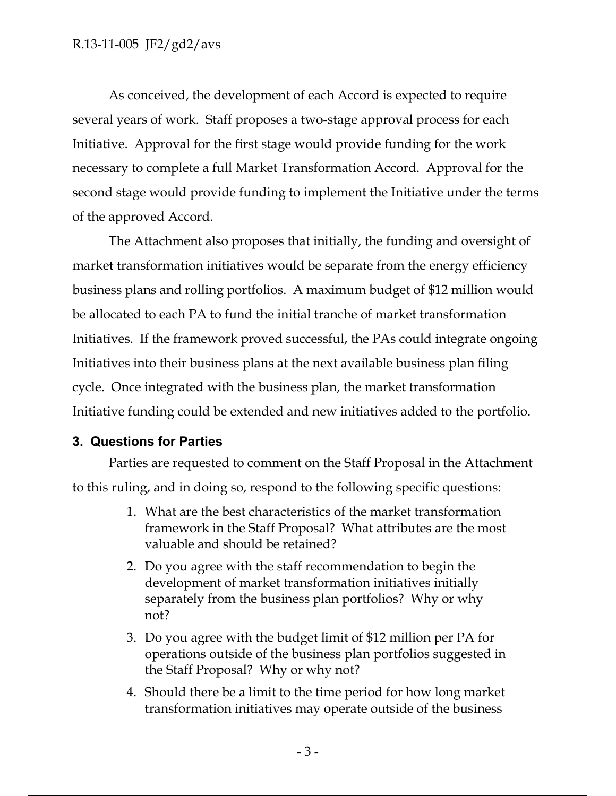As conceived, the development of each Accord is expected to require several years of work. Staff proposes a two-stage approval process for each Initiative. Approval for the first stage would provide funding for the work necessary to complete a full Market Transformation Accord. Approval for the second stage would provide funding to implement the Initiative under the terms of the approved Accord.

The Attachment also proposes that initially, the funding and oversight of market transformation initiatives would be separate from the energy efficiency business plans and rolling portfolios. A maximum budget of \$12 million would be allocated to each PA to fund the initial tranche of market transformation Initiatives. If the framework proved successful, the PAs could integrate ongoing Initiatives into their business plans at the next available business plan filing cycle. Once integrated with the business plan, the market transformation Initiative funding could be extended and new initiatives added to the portfolio.

## **3. Questions for Parties**

Parties are requested to comment on the Staff Proposal in the Attachment to this ruling, and in doing so, respond to the following specific questions:

- 1. What are the best characteristics of the market transformation framework in the Staff Proposal? What attributes are the most valuable and should be retained?
- 2. Do you agree with the staff recommendation to begin the development of market transformation initiatives initially separately from the business plan portfolios? Why or why not?
- 3. Do you agree with the budget limit of \$12 million per PA for operations outside of the business plan portfolios suggested in the Staff Proposal? Why or why not?
- 4. Should there be a limit to the time period for how long market transformation initiatives may operate outside of the business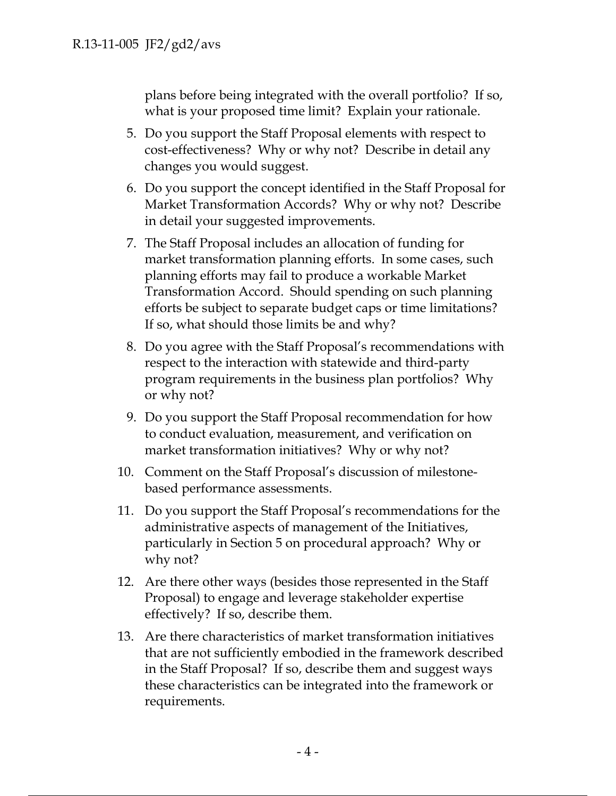plans before being integrated with the overall portfolio? If so, what is your proposed time limit? Explain your rationale.

- 5. Do you support the Staff Proposal elements with respect to cost-effectiveness? Why or why not? Describe in detail any changes you would suggest.
- 6. Do you support the concept identified in the Staff Proposal for Market Transformation Accords? Why or why not? Describe in detail your suggested improvements.
- 7. The Staff Proposal includes an allocation of funding for market transformation planning efforts. In some cases, such planning efforts may fail to produce a workable Market Transformation Accord. Should spending on such planning efforts be subject to separate budget caps or time limitations? If so, what should those limits be and why?
- 8. Do you agree with the Staff Proposal's recommendations with respect to the interaction with statewide and third-party program requirements in the business plan portfolios? Why or why not?
- 9. Do you support the Staff Proposal recommendation for how to conduct evaluation, measurement, and verification on market transformation initiatives? Why or why not?
- 10. Comment on the Staff Proposal's discussion of milestonebased performance assessments.
- 11. Do you support the Staff Proposal's recommendations for the administrative aspects of management of the Initiatives, particularly in Section 5 on procedural approach? Why or why not?
- 12. Are there other ways (besides those represented in the Staff Proposal) to engage and leverage stakeholder expertise effectively? If so, describe them.
- 13. Are there characteristics of market transformation initiatives that are not sufficiently embodied in the framework described in the Staff Proposal? If so, describe them and suggest ways these characteristics can be integrated into the framework or requirements.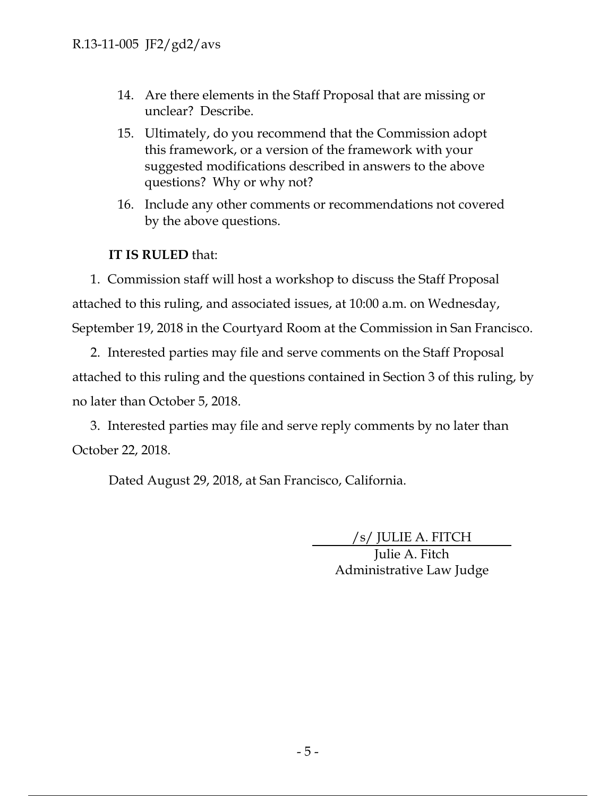- 14. Are there elements in the Staff Proposal that are missing or unclear? Describe.
- 15. Ultimately, do you recommend that the Commission adopt this framework, or a version of the framework with your suggested modifications described in answers to the above questions? Why or why not?
- 16. Include any other comments or recommendations not covered by the above questions.

## **IT IS RULED** that:

1. Commission staff will host a workshop to discuss the Staff Proposal attached to this ruling, and associated issues, at 10:00 a.m. on Wednesday, September 19, 2018 in the Courtyard Room at the Commission in San Francisco.

2. Interested parties may file and serve comments on the Staff Proposal attached to this ruling and the questions contained in Section 3 of this ruling, by no later than October 5, 2018.

3. Interested parties may file and serve reply comments by no later than October 22, 2018.

Dated August 29, 2018, at San Francisco, California.

/s/ JULIE A. FITCH

Julie A. Fitch Administrative Law Judge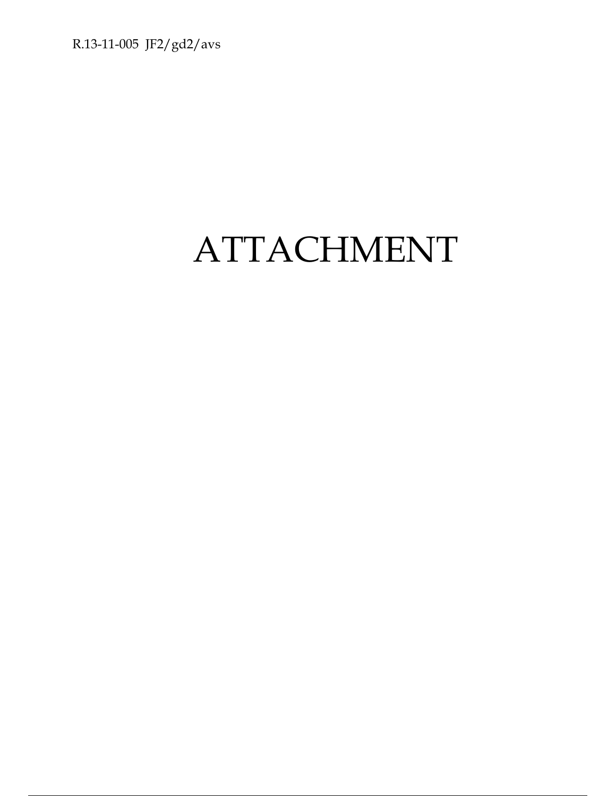R.13-11-005 JF2/gd2/avs

# ATTACHMENT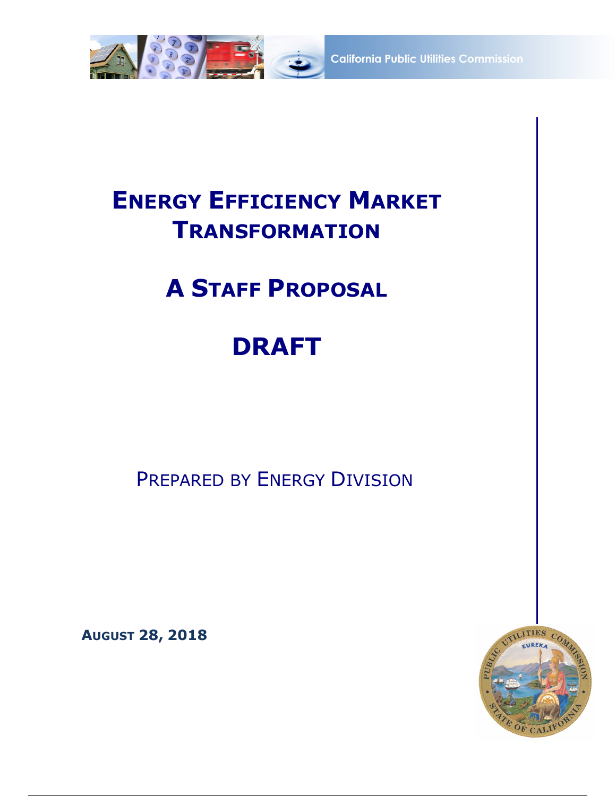

**California Public Utilities Commission** 

## **ENERGY EFFICIENCY MARKET TRANSFORMATION**

## **A STAFF PROPOSAL**

## **DRAFT**

PREPARED BY ENERGY DIVISION

**AUGUST 28, 2018**

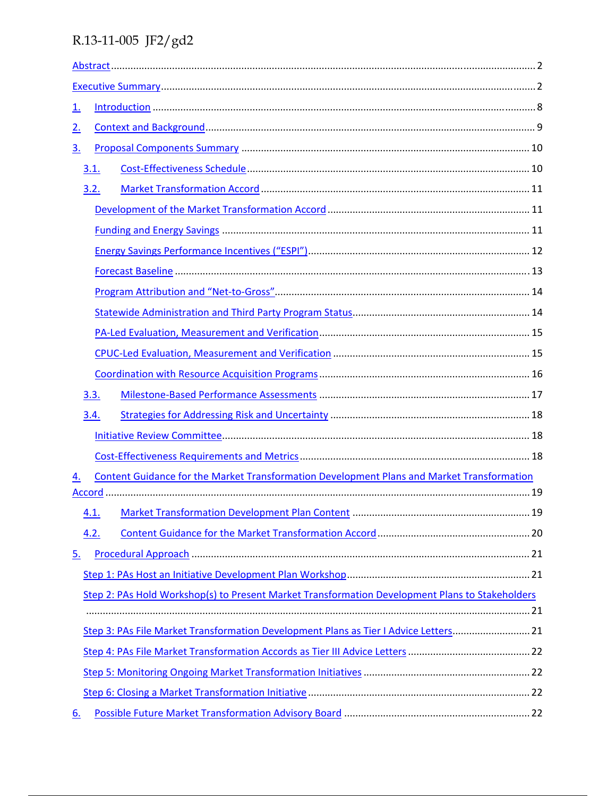| <u>1.</u>                                                                                        |  |
|--------------------------------------------------------------------------------------------------|--|
| 2.                                                                                               |  |
| <u>3.</u>                                                                                        |  |
| 3.1.                                                                                             |  |
| 3.2.                                                                                             |  |
|                                                                                                  |  |
|                                                                                                  |  |
|                                                                                                  |  |
|                                                                                                  |  |
|                                                                                                  |  |
|                                                                                                  |  |
|                                                                                                  |  |
|                                                                                                  |  |
|                                                                                                  |  |
| 3.3.                                                                                             |  |
| 3.4.                                                                                             |  |
|                                                                                                  |  |
|                                                                                                  |  |
| Content Guidance for the Market Transformation Development Plans and Market Transformation<br>4. |  |
|                                                                                                  |  |
| 4.1.                                                                                             |  |
| 4.2.                                                                                             |  |
| <u>5.</u>                                                                                        |  |
|                                                                                                  |  |
| Step 2: PAs Hold Workshop(s) to Present Market Transformation Development Plans to Stakeholders  |  |
|                                                                                                  |  |
| Step 3: PAs File Market Transformation Development Plans as Tier I Advice Letters21              |  |
|                                                                                                  |  |
|                                                                                                  |  |
|                                                                                                  |  |
| 6.                                                                                               |  |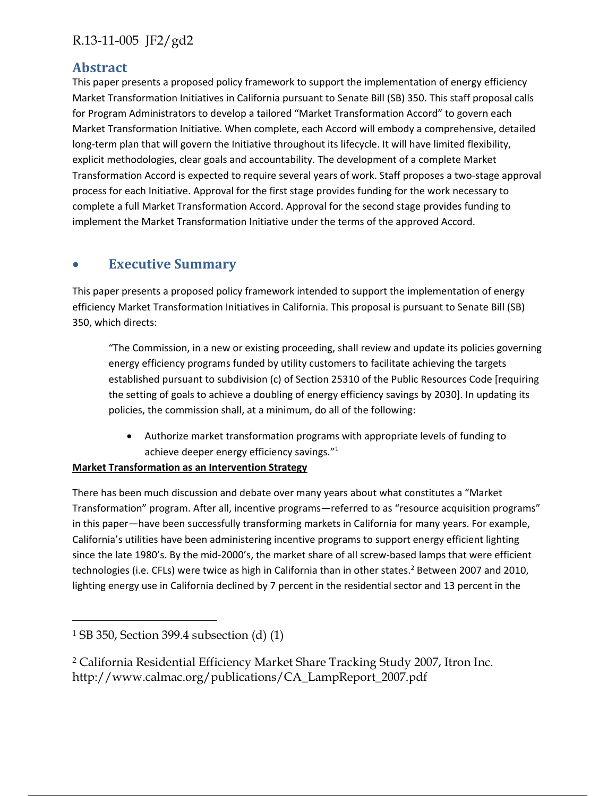### **Abstract**

This paper presents a proposed policy framework to support the implementation of energy efficiency Market Transformation Initiatives in California pursuant to Senate Bill (SB) 350. This staff proposal calls for Program Administrators to develop a tailored "Market Transformation Accord" to govern each Market Transformation Initiative. When complete, each Accord will embody a comprehensive, detailed long-term plan that will govern the Initiative throughout its lifecycle. It will have limited flexibility, explicit methodologies, clear goals and accountability. The development of a complete Market Transformation Accord is expected to require several years of work. Staff proposes a two‐stage approval process for each Initiative. Approval for the first stage provides funding for the work necessary to complete a full Market Transformation Accord. Approval for the second stage provides funding to implement the Market Transformation Initiative under the terms of the approved Accord.

## **Executive Summary**

This paper presents a proposed policy framework intended to support the implementation of energy efficiency Market Transformation Initiatives in California. This proposal is pursuant to Senate Bill (SB) 350, which directs:

"The Commission, in a new or existing proceeding, shall review and update its policies governing energy efficiency programs funded by utility customers to facilitate achieving the targets established pursuant to subdivision (c) of Section 25310 of the Public Resources Code [requiring the setting of goals to achieve a doubling of energy efficiency savings by 2030]. In updating its policies, the commission shall, at a minimum, do all of the following:

 Authorize market transformation programs with appropriate levels of funding to achieve deeper energy efficiency savings."1

#### **Market Transformation as an Intervention Strategy**

There has been much discussion and debate over many years about what constitutes a "Market Transformation" program. After all, incentive programs—referred to as "resource acquisition programs" in this paper—have been successfully transforming markets in California for many years. For example, California's utilities have been administering incentive programs to support energy efficient lighting since the late 1980's. By the mid-2000's, the market share of all screw-based lamps that were efficient technologies (i.e. CFLs) were twice as high in California than in other states.<sup>2</sup> Between 2007 and 2010, lighting energy use in California declined by 7 percent in the residential sector and 13 percent in the

 $\overline{a}$ 

<sup>1</sup> SB 350, Section 399.4 subsection (d) (1)

<sup>2</sup> California Residential Efficiency Market Share Tracking Study 2007, Itron Inc. http://www.calmac.org/publications/CA\_LampReport\_2007.pdf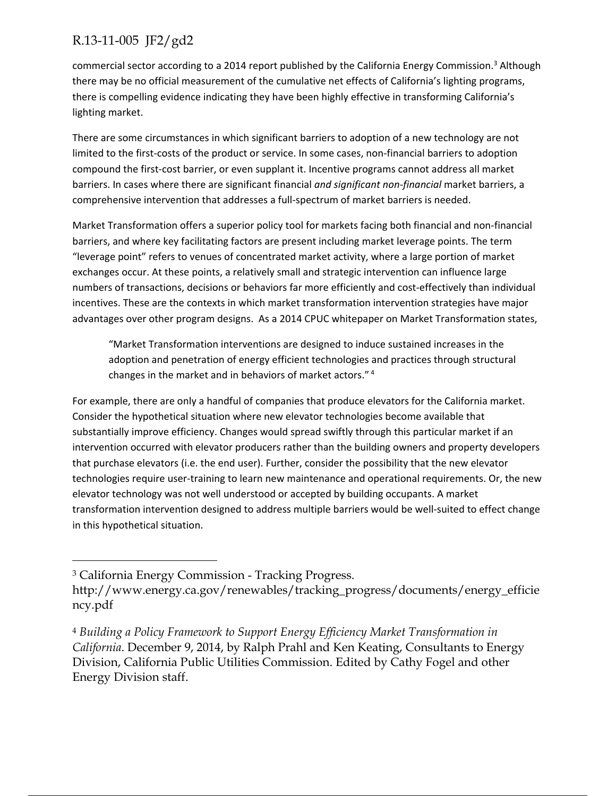commercial sector according to a 2014 report published by the California Energy Commission.<sup>3</sup> Although there may be no official measurement of the cumulative net effects of California's lighting programs, there is compelling evidence indicating they have been highly effective in transforming California's lighting market.

There are some circumstances in which significant barriers to adoption of a new technology are not limited to the first-costs of the product or service. In some cases, non-financial barriers to adoption compound the first‐cost barrier, or even supplant it. Incentive programs cannot address all market barriers. In cases where there are significant financial *and significant non‐financial* market barriers, a comprehensive intervention that addresses a full‐spectrum of market barriers is needed.

Market Transformation offers a superior policy tool for markets facing both financial and non‐financial barriers, and where key facilitating factors are present including market leverage points. The term "leverage point" refers to venues of concentrated market activity, where a large portion of market exchanges occur. At these points, a relatively small and strategic intervention can influence large numbers of transactions, decisions or behaviors far more efficiently and cost-effectively than individual incentives. These are the contexts in which market transformation intervention strategies have major advantages over other program designs. As a 2014 CPUC whitepaper on Market Transformation states,

"Market Transformation interventions are designed to induce sustained increases in the adoption and penetration of energy efficient technologies and practices through structural changes in the market and in behaviors of market actors." <sup>4</sup>

For example, there are only a handful of companies that produce elevators for the California market. Consider the hypothetical situation where new elevator technologies become available that substantially improve efficiency. Changes would spread swiftly through this particular market if an intervention occurred with elevator producers rather than the building owners and property developers that purchase elevators (i.e. the end user). Further, consider the possibility that the new elevator technologies require user-training to learn new maintenance and operational requirements. Or, the new elevator technology was not well understood or accepted by building occupants. A market transformation intervention designed to address multiple barriers would be well‐suited to effect change in this hypothetical situation.

 $\overline{a}$ 

<sup>3</sup> California Energy Commission - Tracking Progress.

http://www.energy.ca.gov/renewables/tracking\_progress/documents/energy\_efficie ncy.pdf

<sup>4</sup> *Building a Policy Framework to Support Energy Efficiency Market Transformation in California*. December 9, 2014, by Ralph Prahl and Ken Keating, Consultants to Energy Division, California Public Utilities Commission. Edited by Cathy Fogel and other Energy Division staff.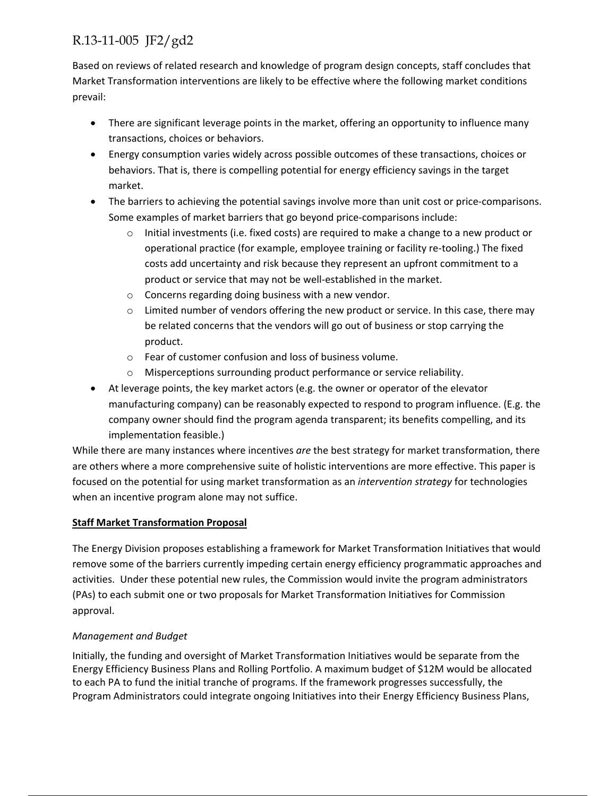Based on reviews of related research and knowledge of program design concepts, staff concludes that Market Transformation interventions are likely to be effective where the following market conditions prevail:

- There are significant leverage points in the market, offering an opportunity to influence many transactions, choices or behaviors.
- Energy consumption varies widely across possible outcomes of these transactions, choices or behaviors. That is, there is compelling potential for energy efficiency savings in the target market.
- The barriers to achieving the potential savings involve more than unit cost or price-comparisons. Some examples of market barriers that go beyond price‐comparisons include:
	- $\circ$  Initial investments (i.e. fixed costs) are required to make a change to a new product or operational practice (for example, employee training or facility re‐tooling.) The fixed costs add uncertainty and risk because they represent an upfront commitment to a product or service that may not be well-established in the market.
	- o Concerns regarding doing business with a new vendor.
	- $\circ$  Limited number of vendors offering the new product or service. In this case, there may be related concerns that the vendors will go out of business or stop carrying the product.
	- o Fear of customer confusion and loss of business volume.
	- o Misperceptions surrounding product performance or service reliability.
- At leverage points, the key market actors (e.g. the owner or operator of the elevator manufacturing company) can be reasonably expected to respond to program influence. (E.g. the company owner should find the program agenda transparent; its benefits compelling, and its implementation feasible.)

While there are many instances where incentives *are* the best strategy for market transformation, there are others where a more comprehensive suite of holistic interventions are more effective. This paper is focused on the potential for using market transformation as an *intervention strategy* for technologies when an incentive program alone may not suffice.

#### **Staff Market Transformation Proposal**

The Energy Division proposes establishing a framework for Market Transformation Initiatives that would remove some of the barriers currently impeding certain energy efficiency programmatic approaches and activities. Under these potential new rules, the Commission would invite the program administrators (PAs) to each submit one or two proposals for Market Transformation Initiatives for Commission approval.

#### *Management and Budget*

Initially, the funding and oversight of Market Transformation Initiatives would be separate from the Energy Efficiency Business Plans and Rolling Portfolio. A maximum budget of \$12M would be allocated to each PA to fund the initial tranche of programs. If the framework progresses successfully, the Program Administrators could integrate ongoing Initiatives into their Energy Efficiency Business Plans,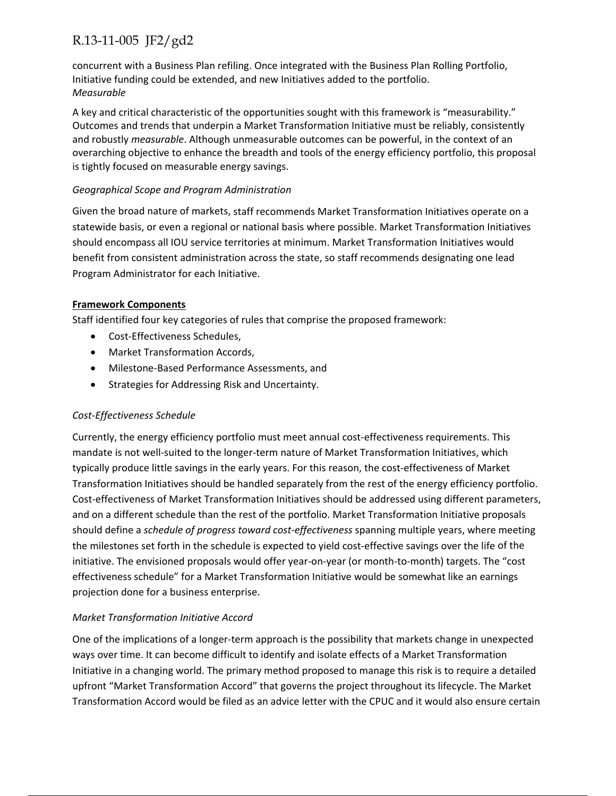concurrent with a Business Plan refiling. Once integrated with the Business Plan Rolling Portfolio, Initiative funding could be extended, and new Initiatives added to the portfolio. *Measurable* 

A key and critical characteristic of the opportunities sought with this framework is "measurability." Outcomes and trends that underpin a Market Transformation Initiative must be reliably, consistently and robustly *measurable*. Although unmeasurable outcomes can be powerful, in the context of an overarching objective to enhance the breadth and tools of the energy efficiency portfolio, this proposal is tightly focused on measurable energy savings.

#### *Geographical Scope and Program Administration*

Given the broad nature of markets, staff recommends Market Transformation Initiatives operate on a statewide basis, or even a regional or national basis where possible. Market Transformation Initiatives should encompass all IOU service territories at minimum. Market Transformation Initiatives would benefit from consistent administration across the state, so staff recommends designating one lead Program Administrator for each Initiative.

#### **Framework Components**

Staff identified four key categories of rules that comprise the proposed framework:

- Cost-Effectiveness Schedules,
- Market Transformation Accords,
- Milestone‐Based Performance Assessments, and
- Strategies for Addressing Risk and Uncertainty.

#### *Cost‐Effectiveness Schedule*

Currently, the energy efficiency portfolio must meet annual cost‐effectiveness requirements. This mandate is not well‐suited to the longer‐term nature of Market Transformation Initiatives, which typically produce little savings in the early years. For this reason, the cost‐effectiveness of Market Transformation Initiatives should be handled separately from the rest of the energy efficiency portfolio. Cost-effectiveness of Market Transformation Initiatives should be addressed using different parameters, and on a different schedule than the rest of the portfolio. Market Transformation Initiative proposals should define a *schedule of progress toward cost‐effectiveness* spanning multiple years, where meeting the milestones set forth in the schedule is expected to yield cost-effective savings over the life of the initiative. The envisioned proposals would offer year‐on‐year (or month‐to‐month) targets. The "cost effectiveness schedule" for a Market Transformation Initiative would be somewhat like an earnings projection done for a business enterprise.

#### *Market Transformation Initiative Accord*

One of the implications of a longer‐term approach is the possibility that markets change in unexpected ways over time. It can become difficult to identify and isolate effects of a Market Transformation Initiative in a changing world. The primary method proposed to manage this risk is to require a detailed upfront "Market Transformation Accord" that governs the project throughout its lifecycle. The Market Transformation Accord would be filed as an advice letter with the CPUC and it would also ensure certain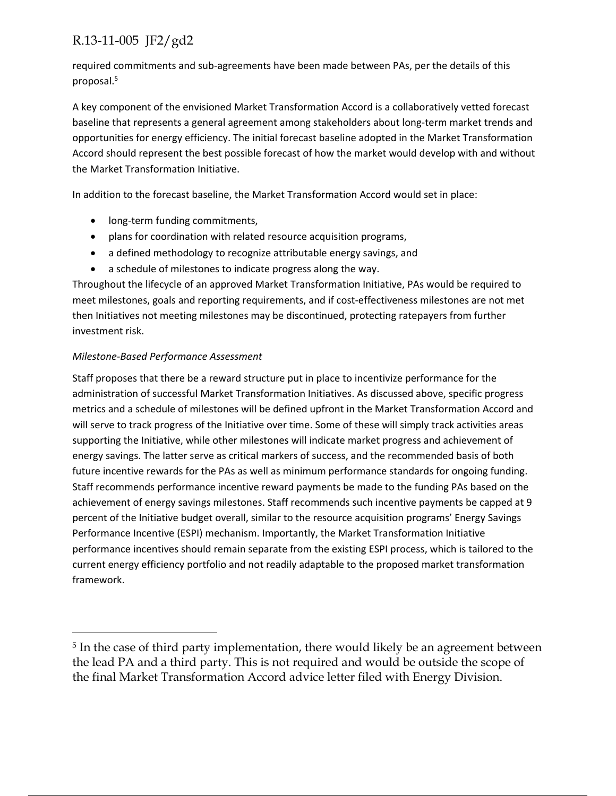required commitments and sub‐agreements have been made between PAs, per the details of this proposal.5

A key component of the envisioned Market Transformation Accord is a collaboratively vetted forecast baseline that represents a general agreement among stakeholders about long‐term market trends and opportunities for energy efficiency. The initial forecast baseline adopted in the Market Transformation Accord should represent the best possible forecast of how the market would develop with and without the Market Transformation Initiative.

In addition to the forecast baseline, the Market Transformation Accord would set in place:

- long-term funding commitments,
- plans for coordination with related resource acquisition programs,
- a defined methodology to recognize attributable energy savings, and
- a schedule of milestones to indicate progress along the way.

Throughout the lifecycle of an approved Market Transformation Initiative, PAs would be required to meet milestones, goals and reporting requirements, and if cost-effectiveness milestones are not met then Initiatives not meeting milestones may be discontinued, protecting ratepayers from further investment risk.

#### *Milestone‐Based Performance Assessment*

 $\overline{a}$ 

Staff proposes that there be a reward structure put in place to incentivize performance for the administration of successful Market Transformation Initiatives. As discussed above, specific progress metrics and a schedule of milestones will be defined upfront in the Market Transformation Accord and will serve to track progress of the Initiative over time. Some of these will simply track activities areas supporting the Initiative, while other milestones will indicate market progress and achievement of energy savings. The latter serve as critical markers of success, and the recommended basis of both future incentive rewards for the PAs as well as minimum performance standards for ongoing funding. Staff recommends performance incentive reward payments be made to the funding PAs based on the achievement of energy savings milestones. Staff recommends such incentive payments be capped at 9 percent of the Initiative budget overall, similar to the resource acquisition programs' Energy Savings Performance Incentive (ESPI) mechanism. Importantly, the Market Transformation Initiative performance incentives should remain separate from the existing ESPI process, which is tailored to the current energy efficiency portfolio and not readily adaptable to the proposed market transformation framework.

<sup>&</sup>lt;sup>5</sup> In the case of third party implementation, there would likely be an agreement between the lead PA and a third party. This is not required and would be outside the scope of the final Market Transformation Accord advice letter filed with Energy Division.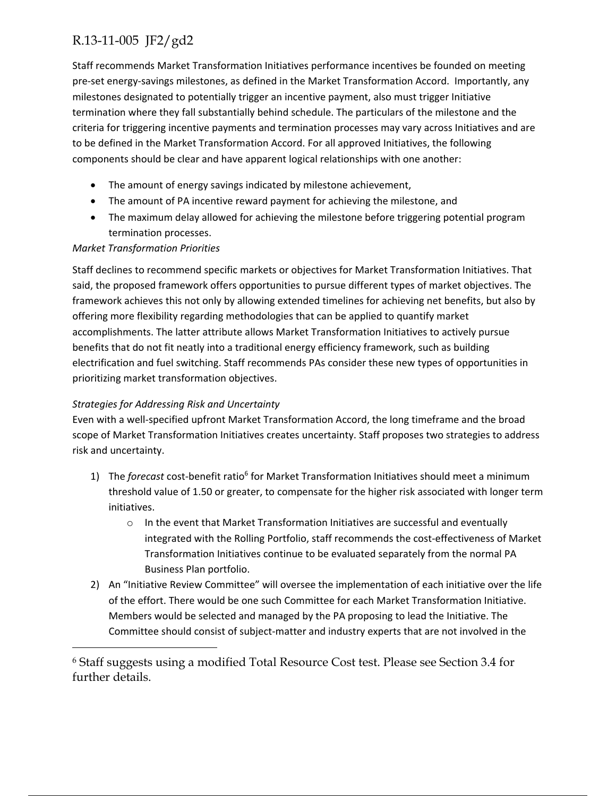Staff recommends Market Transformation Initiatives performance incentives be founded on meeting pre‐set energy‐savings milestones, as defined in the Market Transformation Accord. Importantly, any milestones designated to potentially trigger an incentive payment, also must trigger Initiative termination where they fall substantially behind schedule. The particulars of the milestone and the criteria for triggering incentive payments and termination processes may vary across Initiatives and are to be defined in the Market Transformation Accord. For all approved Initiatives, the following components should be clear and have apparent logical relationships with one another:

- The amount of energy savings indicated by milestone achievement,
- The amount of PA incentive reward payment for achieving the milestone, and
- The maximum delay allowed for achieving the milestone before triggering potential program termination processes.

#### *Market Transformation Priorities*

Staff declines to recommend specific markets or objectives for Market Transformation Initiatives. That said, the proposed framework offers opportunities to pursue different types of market objectives. The framework achieves this not only by allowing extended timelines for achieving net benefits, but also by offering more flexibility regarding methodologies that can be applied to quantify market accomplishments. The latter attribute allows Market Transformation Initiatives to actively pursue benefits that do not fit neatly into a traditional energy efficiency framework, such as building electrification and fuel switching. Staff recommends PAs consider these new types of opportunities in prioritizing market transformation objectives.

#### *Strategies for Addressing Risk and Uncertainty*

 $\overline{a}$ 

Even with a well‐specified upfront Market Transformation Accord, the long timeframe and the broad scope of Market Transformation Initiatives creates uncertainty. Staff proposes two strategies to address risk and uncertainty.

- 1) The *forecast* cost-benefit ratio<sup>6</sup> for Market Transformation Initiatives should meet a minimum threshold value of 1.50 or greater, to compensate for the higher risk associated with longer term initiatives.
	- $\circ$  In the event that Market Transformation Initiatives are successful and eventually integrated with the Rolling Portfolio, staff recommends the cost-effectiveness of Market Transformation Initiatives continue to be evaluated separately from the normal PA Business Plan portfolio.
- 2) An "Initiative Review Committee" will oversee the implementation of each initiative over the life of the effort. There would be one such Committee for each Market Transformation Initiative. Members would be selected and managed by the PA proposing to lead the Initiative. The Committee should consist of subject‐matter and industry experts that are not involved in the

<sup>6</sup> Staff suggests using a modified Total Resource Cost test. Please see Section 3.4 for further details.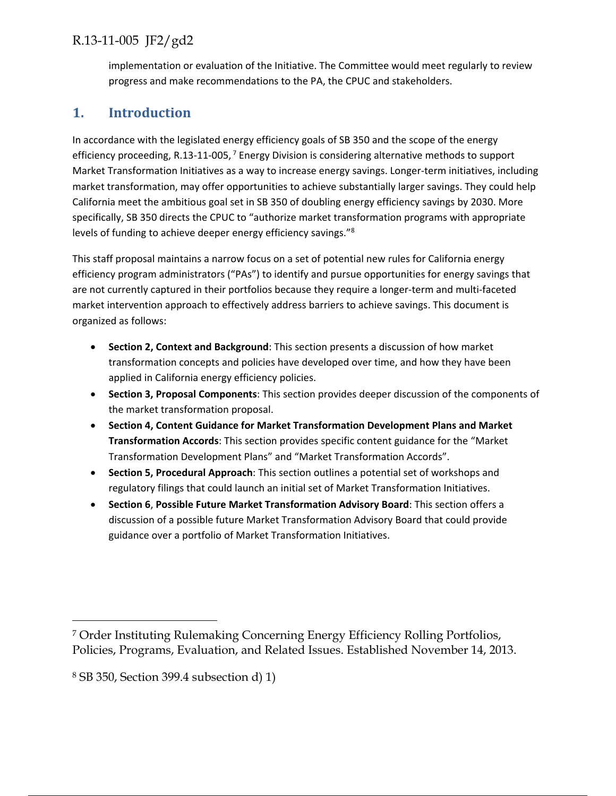implementation or evaluation of the Initiative. The Committee would meet regularly to review progress and make recommendations to the PA, the CPUC and stakeholders.

## **1. Introduction**

In accordance with the legislated energy efficiency goals of SB 350 and the scope of the energy efficiency proceeding, R.13-11-005,<sup>7</sup> Energy Division is considering alternative methods to support Market Transformation Initiatives as a way to increase energy savings. Longer‐term initiatives, including market transformation, may offer opportunities to achieve substantially larger savings. They could help California meet the ambitious goal set in SB 350 of doubling energy efficiency savings by 2030. More specifically, SB 350 directs the CPUC to "authorize market transformation programs with appropriate levels of funding to achieve deeper energy efficiency savings."8

This staff proposal maintains a narrow focus on a set of potential new rules for California energy efficiency program administrators ("PAs") to identify and pursue opportunities for energy savings that are not currently captured in their portfolios because they require a longer-term and multi-faceted market intervention approach to effectively address barriers to achieve savings. This document is organized as follows:

- **Section 2, Context and Background**: This section presents a discussion of how market transformation concepts and policies have developed over time, and how they have been applied in California energy efficiency policies.
- **Section 3, Proposal Components**: This section provides deeper discussion of the components of the market transformation proposal.
- **Section 4, Content Guidance for Market Transformation Development Plans and Market Transformation Accords**: This section provides specific content guidance for the "Market Transformation Development Plans" and "Market Transformation Accords".
- **Section 5, Procedural Approach**: This section outlines a potential set of workshops and regulatory filings that could launch an initial set of Market Transformation Initiatives.
- **Section 6**, **Possible Future Market Transformation Advisory Board**: This section offers a discussion of a possible future Market Transformation Advisory Board that could provide guidance over a portfolio of Market Transformation Initiatives.

 $\overline{a}$ 

<sup>7</sup> Order Instituting Rulemaking Concerning Energy Efficiency Rolling Portfolios, Policies, Programs, Evaluation, and Related Issues. Established November 14, 2013.

<sup>8</sup> SB 350, Section 399.4 subsection d) 1)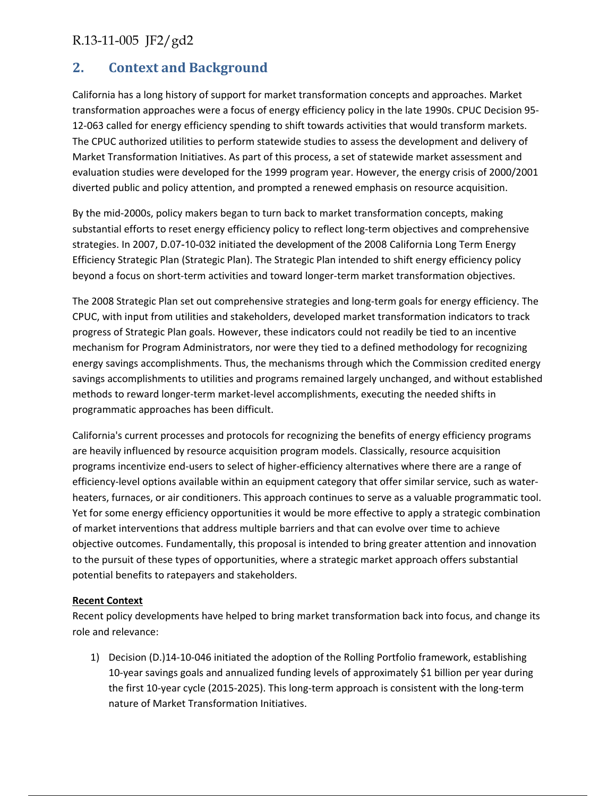## **2. Context and Background**

California has a long history of support for market transformation concepts and approaches. Market transformation approaches were a focus of energy efficiency policy in the late 1990s. CPUC Decision 95‐ 12-063 called for energy efficiency spending to shift towards activities that would transform markets. The CPUC authorized utilities to perform statewide studies to assess the development and delivery of Market Transformation Initiatives. As part of this process, a set of statewide market assessment and evaluation studies were developed for the 1999 program year. However, the energy crisis of 2000/2001 diverted public and policy attention, and prompted a renewed emphasis on resource acquisition.

By the mid‐2000s, policy makers began to turn back to market transformation concepts, making substantial efforts to reset energy efficiency policy to reflect long-term objectives and comprehensive strategies. In 2007, D.07-10-032 initiated the development of the 2008 California Long Term Energy Efficiency Strategic Plan (Strategic Plan). The Strategic Plan intended to shift energy efficiency policy beyond a focus on short-term activities and toward longer-term market transformation objectives.

The 2008 Strategic Plan set out comprehensive strategies and long‐term goals for energy efficiency. The CPUC, with input from utilities and stakeholders, developed market transformation indicators to track progress of Strategic Plan goals. However, these indicators could not readily be tied to an incentive mechanism for Program Administrators, nor were they tied to a defined methodology for recognizing energy savings accomplishments. Thus, the mechanisms through which the Commission credited energy savings accomplishments to utilities and programs remained largely unchanged, and without established methods to reward longer‐term market‐level accomplishments, executing the needed shifts in programmatic approaches has been difficult.

California's current processes and protocols for recognizing the benefits of energy efficiency programs are heavily influenced by resource acquisition program models. Classically, resource acquisition programs incentivize end‐users to select of higher‐efficiency alternatives where there are a range of efficiency-level options available within an equipment category that offer similar service, such as waterheaters, furnaces, or air conditioners. This approach continues to serve as a valuable programmatic tool. Yet for some energy efficiency opportunities it would be more effective to apply a strategic combination of market interventions that address multiple barriers and that can evolve over time to achieve objective outcomes. Fundamentally, this proposal is intended to bring greater attention and innovation to the pursuit of these types of opportunities, where a strategic market approach offers substantial potential benefits to ratepayers and stakeholders.

#### **Recent Context**

Recent policy developments have helped to bring market transformation back into focus, and change its role and relevance:

1) Decision (D.)14‐10‐046 initiated the adoption of the Rolling Portfolio framework, establishing 10‐year savings goals and annualized funding levels of approximately \$1 billion per year during the first 10‐year cycle (2015‐2025). This long‐term approach is consistent with the long‐term nature of Market Transformation Initiatives.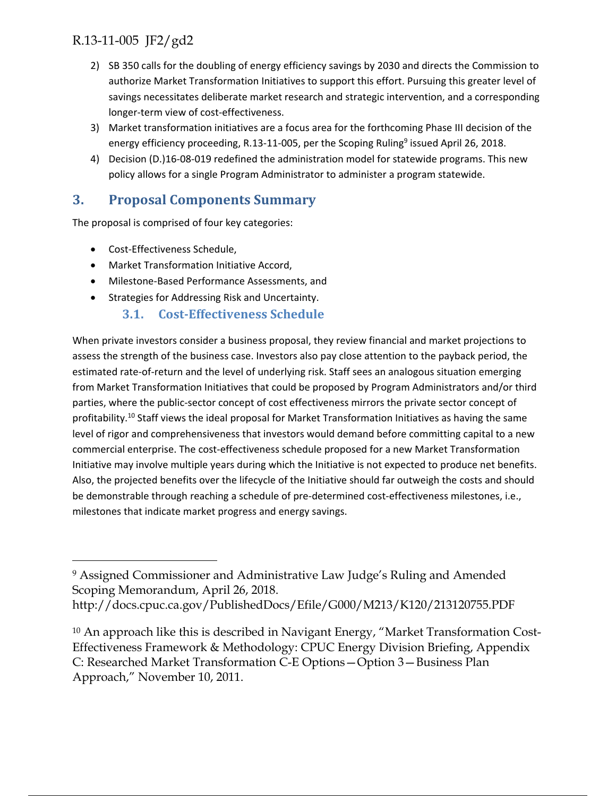- 2) SB 350 calls for the doubling of energy efficiency savings by 2030 and directs the Commission to authorize Market Transformation Initiatives to support this effort. Pursuing this greater level of savings necessitates deliberate market research and strategic intervention, and a corresponding longer‐term view of cost‐effectiveness.
- 3) Market transformation initiatives are a focus area for the forthcoming Phase III decision of the energy efficiency proceeding, R.13-11-005, per the Scoping Ruling<sup>9</sup> issued April 26, 2018.
- 4) Decision (D.)16-08-019 redefined the administration model for statewide programs. This new policy allows for a single Program Administrator to administer a program statewide.

## **3. Proposal Components Summary**

The proposal is comprised of four key categories:

● Cost-Effectiveness Schedule,

 $\overline{a}$ 

- Market Transformation Initiative Accord,
- Milestone‐Based Performance Assessments, and
- Strategies for Addressing Risk and Uncertainty.

#### **3.1. Cost‐Effectiveness Schedule**

When private investors consider a business proposal, they review financial and market projections to assess the strength of the business case. Investors also pay close attention to the payback period, the estimated rate‐of‐return and the level of underlying risk. Staff sees an analogous situation emerging from Market Transformation Initiatives that could be proposed by Program Administrators and/or third parties, where the public-sector concept of cost effectiveness mirrors the private sector concept of profitability.10 Staff views the ideal proposal for Market Transformation Initiatives as having the same level of rigor and comprehensiveness that investors would demand before committing capital to a new commercial enterprise. The cost-effectiveness schedule proposed for a new Market Transformation Initiative may involve multiple years during which the Initiative is not expected to produce net benefits. Also, the projected benefits over the lifecycle of the Initiative should far outweigh the costs and should be demonstrable through reaching a schedule of pre-determined cost-effectiveness milestones, i.e., milestones that indicate market progress and energy savings.

<sup>9</sup> Assigned Commissioner and Administrative Law Judge's Ruling and Amended Scoping Memorandum, April 26, 2018.

http://docs.cpuc.ca.gov/PublishedDocs/Efile/G000/M213/K120/213120755.PDF

<sup>&</sup>lt;sup>10</sup> An approach like this is described in Navigant Energy, "Market Transformation Cost-Effectiveness Framework & Methodology: CPUC Energy Division Briefing, Appendix C: Researched Market Transformation C-E Options—Option 3—Business Plan Approach," November 10, 2011.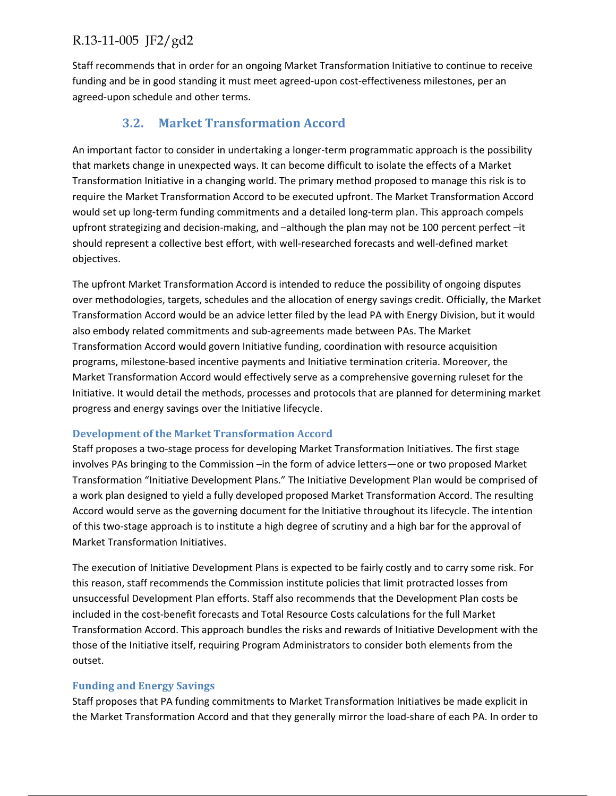Staff recommends that in order for an ongoing Market Transformation Initiative to continue to receive funding and be in good standing it must meet agreed-upon cost-effectiveness milestones, per an agreed‐upon schedule and other terms.

## **3.2. Market Transformation Accord**

An important factor to consider in undertaking a longer-term programmatic approach is the possibility that markets change in unexpected ways. It can become difficult to isolate the effects of a Market Transformation Initiative in a changing world. The primary method proposed to manage this risk is to require the Market Transformation Accord to be executed upfront. The Market Transformation Accord would set up long-term funding commitments and a detailed long-term plan. This approach compels upfront strategizing and decision-making, and –although the plan may not be 100 percent perfect –it should represent a collective best effort, with well‐researched forecasts and well‐defined market objectives.

The upfront Market Transformation Accord is intended to reduce the possibility of ongoing disputes over methodologies, targets, schedules and the allocation of energy savings credit. Officially, the Market Transformation Accord would be an advice letter filed by the lead PA with Energy Division, but it would also embody related commitments and sub‐agreements made between PAs. The Market Transformation Accord would govern Initiative funding, coordination with resource acquisition programs, milestone‐based incentive payments and Initiative termination criteria. Moreover, the Market Transformation Accord would effectively serve as a comprehensive governing ruleset for the Initiative. It would detail the methods, processes and protocols that are planned for determining market progress and energy savings over the Initiative lifecycle.

#### **Development of the Market Transformation Accord**

Staff proposes a two‐stage process for developing Market Transformation Initiatives. The first stage involves PAs bringing to the Commission –in the form of advice letters—one or two proposed Market Transformation "Initiative Development Plans." The Initiative Development Plan would be comprised of a work plan designed to yield a fully developed proposed Market Transformation Accord. The resulting Accord would serve as the governing document for the Initiative throughout its lifecycle. The intention of this two‐stage approach is to institute a high degree of scrutiny and a high bar for the approval of Market Transformation Initiatives.

The execution of Initiative Development Plans is expected to be fairly costly and to carry some risk. For this reason, staff recommends the Commission institute policies that limit protracted losses from unsuccessful Development Plan efforts. Staff also recommends that the Development Plan costs be included in the cost‐benefit forecasts and Total Resource Costs calculations for the full Market Transformation Accord. This approach bundles the risks and rewards of Initiative Development with the those of the Initiative itself, requiring Program Administrators to consider both elements from the outset.

#### **Funding and Energy Savings**

Staff proposes that PA funding commitments to Market Transformation Initiatives be made explicit in the Market Transformation Accord and that they generally mirror the load‐share of each PA. In order to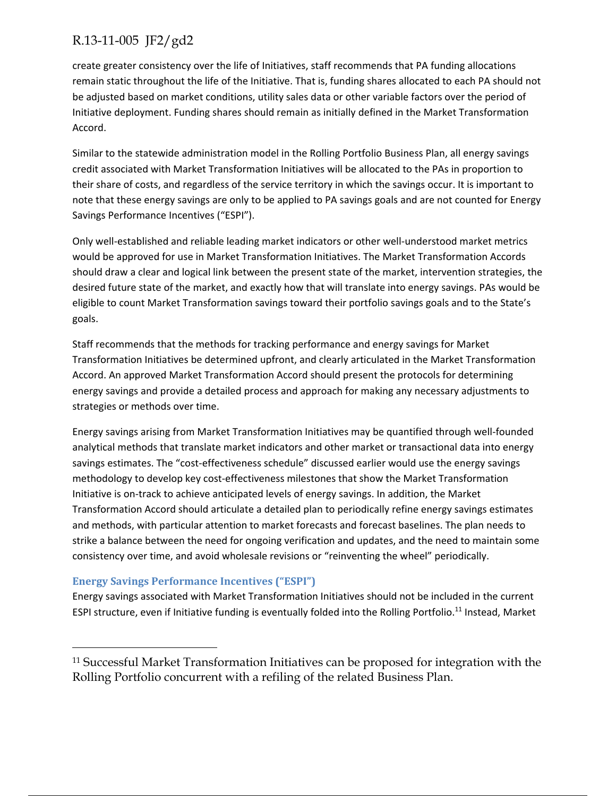create greater consistency over the life of Initiatives, staff recommends that PA funding allocations remain static throughout the life of the Initiative. That is, funding shares allocated to each PA should not be adjusted based on market conditions, utility sales data or other variable factors over the period of Initiative deployment. Funding shares should remain as initially defined in the Market Transformation Accord.

Similar to the statewide administration model in the Rolling Portfolio Business Plan, all energy savings credit associated with Market Transformation Initiatives will be allocated to the PAs in proportion to their share of costs, and regardless of the service territory in which the savings occur. It is important to note that these energy savings are only to be applied to PA savings goals and are not counted for Energy Savings Performance Incentives ("ESPI").

Only well‐established and reliable leading market indicators or other well‐understood market metrics would be approved for use in Market Transformation Initiatives. The Market Transformation Accords should draw a clear and logical link between the present state of the market, intervention strategies, the desired future state of the market, and exactly how that will translate into energy savings. PAs would be eligible to count Market Transformation savings toward their portfolio savings goals and to the State's goals.

Staff recommends that the methods for tracking performance and energy savings for Market Transformation Initiatives be determined upfront, and clearly articulated in the Market Transformation Accord. An approved Market Transformation Accord should present the protocols for determining energy savings and provide a detailed process and approach for making any necessary adjustments to strategies or methods over time.

Energy savings arising from Market Transformation Initiatives may be quantified through well‐founded analytical methods that translate market indicators and other market or transactional data into energy savings estimates. The "cost-effectiveness schedule" discussed earlier would use the energy savings methodology to develop key cost‐effectiveness milestones that show the Market Transformation Initiative is on‐track to achieve anticipated levels of energy savings. In addition, the Market Transformation Accord should articulate a detailed plan to periodically refine energy savings estimates and methods, with particular attention to market forecasts and forecast baselines. The plan needs to strike a balance between the need for ongoing verification and updates, and the need to maintain some consistency over time, and avoid wholesale revisions or "reinventing the wheel" periodically.

#### **Energy Savings Performance Incentives ("ESPI")**

 $\overline{a}$ 

Energy savings associated with Market Transformation Initiatives should not be included in the current ESPI structure, even if Initiative funding is eventually folded into the Rolling Portfolio.<sup>11</sup> Instead, Market

<sup>11</sup> Successful Market Transformation Initiatives can be proposed for integration with the Rolling Portfolio concurrent with a refiling of the related Business Plan.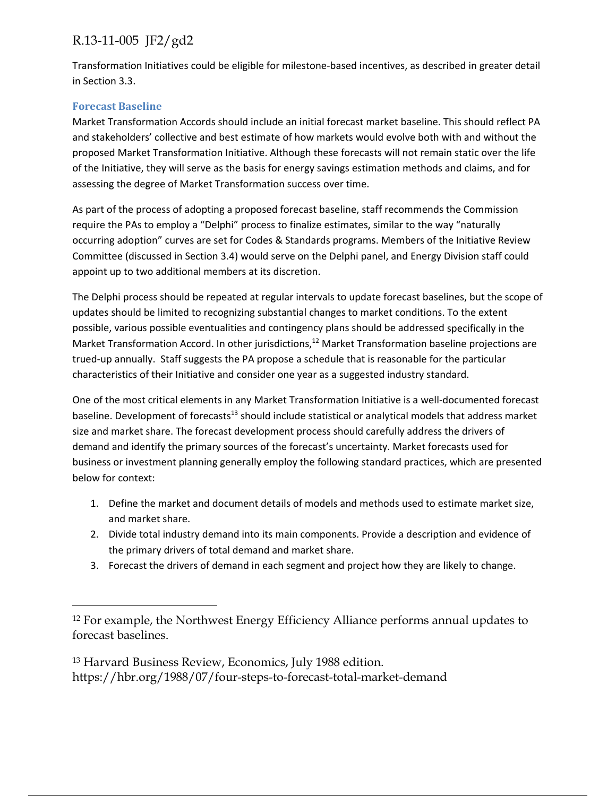Transformation Initiatives could be eligible for milestone‐based incentives, as described in greater detail in Section 3.3.

#### **Forecast Baseline**

 $\overline{a}$ 

Market Transformation Accords should include an initial forecast market baseline. This should reflect PA and stakeholders' collective and best estimate of how markets would evolve both with and without the proposed Market Transformation Initiative. Although these forecasts will not remain static over the life of the Initiative, they will serve as the basis for energy savings estimation methods and claims, and for assessing the degree of Market Transformation success over time.

As part of the process of adopting a proposed forecast baseline, staff recommends the Commission require the PAs to employ a "Delphi" process to finalize estimates, similar to the way "naturally occurring adoption" curves are set for Codes & Standards programs. Members of the Initiative Review Committee (discussed in Section 3.4) would serve on the Delphi panel, and Energy Division staff could appoint up to two additional members at its discretion.

The Delphi process should be repeated at regular intervals to update forecast baselines, but the scope of updates should be limited to recognizing substantial changes to market conditions. To the extent possible, various possible eventualities and contingency plans should be addressed specifically in the Market Transformation Accord. In other jurisdictions,<sup>12</sup> Market Transformation baseline projections are trued‐up annually. Staff suggests the PA propose a schedule that is reasonable for the particular characteristics of their Initiative and consider one year as a suggested industry standard.

One of the most critical elements in any Market Transformation Initiative is a well‐documented forecast baseline. Development of forecasts<sup>13</sup> should include statistical or analytical models that address market size and market share. The forecast development process should carefully address the drivers of demand and identify the primary sources of the forecast's uncertainty. Market forecasts used for business or investment planning generally employ the following standard practices, which are presented below for context:

- 1. Define the market and document details of models and methods used to estimate market size, and market share.
- 2. Divide total industry demand into its main components. Provide a description and evidence of the primary drivers of total demand and market share.
- 3. Forecast the drivers of demand in each segment and project how they are likely to change.

13 Harvard Business Review, Economics, July 1988 edition. https://hbr.org/1988/07/four-steps-to-forecast-total-market-demand

<sup>12</sup> For example, the Northwest Energy Efficiency Alliance performs annual updates to forecast baselines.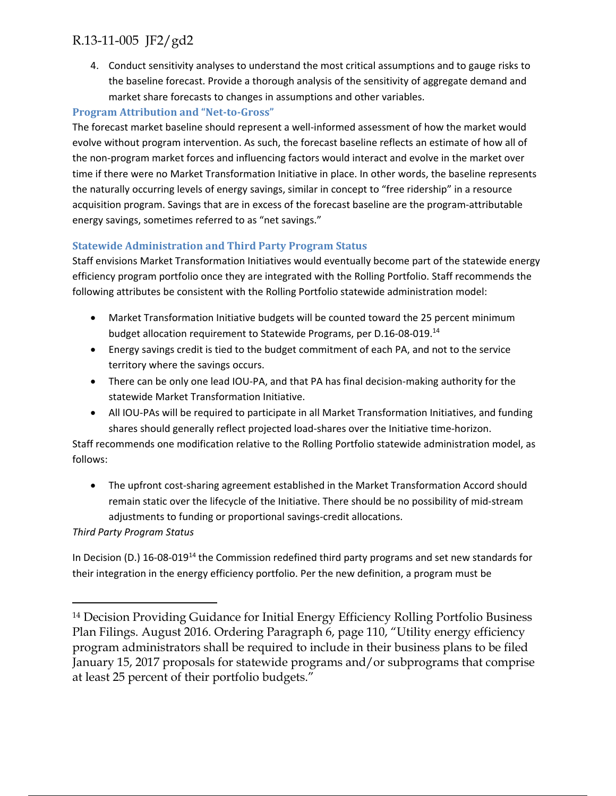4. Conduct sensitivity analyses to understand the most critical assumptions and to gauge risks to the baseline forecast. Provide a thorough analysis of the sensitivity of aggregate demand and market share forecasts to changes in assumptions and other variables.

#### **Program Attribution and "Net‐to‐Gross"**

The forecast market baseline should represent a well‐informed assessment of how the market would evolve without program intervention. As such, the forecast baseline reflects an estimate of how all of the non‐program market forces and influencing factors would interact and evolve in the market over time if there were no Market Transformation Initiative in place. In other words, the baseline represents the naturally occurring levels of energy savings, similar in concept to "free ridership" in a resource acquisition program. Savings that are in excess of the forecast baseline are the program‐attributable energy savings, sometimes referred to as "net savings."

#### **Statewide Administration and Third Party Program Status**

Staff envisions Market Transformation Initiatives would eventually become part of the statewide energy efficiency program portfolio once they are integrated with the Rolling Portfolio. Staff recommends the following attributes be consistent with the Rolling Portfolio statewide administration model:

- Market Transformation Initiative budgets will be counted toward the 25 percent minimum budget allocation requirement to Statewide Programs, per D.16‐08‐019.14
- Energy savings credit is tied to the budget commitment of each PA, and not to the service territory where the savings occurs.
- There can be only one lead IOU‐PA, and that PA has final decision‐making authority for the statewide Market Transformation Initiative.
- All IOU-PAs will be required to participate in all Market Transformation Initiatives, and funding shares should generally reflect projected load‐shares over the Initiative time‐horizon.

Staff recommends one modification relative to the Rolling Portfolio statewide administration model, as follows:

● The upfront cost-sharing agreement established in the Market Transformation Accord should remain static over the lifecycle of the Initiative. There should be no possibility of mid‐stream adjustments to funding or proportional savings‐credit allocations.

#### *Third Party Program Status*

 $\overline{a}$ 

In Decision (D.) 16-08-019<sup>14</sup> the Commission redefined third party programs and set new standards for their integration in the energy efficiency portfolio. Per the new definition, a program must be

<sup>14</sup> Decision Providing Guidance for Initial Energy Efficiency Rolling Portfolio Business Plan Filings. August 2016. Ordering Paragraph 6, page 110, "Utility energy efficiency program administrators shall be required to include in their business plans to be filed January 15, 2017 proposals for statewide programs and/or subprograms that comprise at least 25 percent of their portfolio budgets."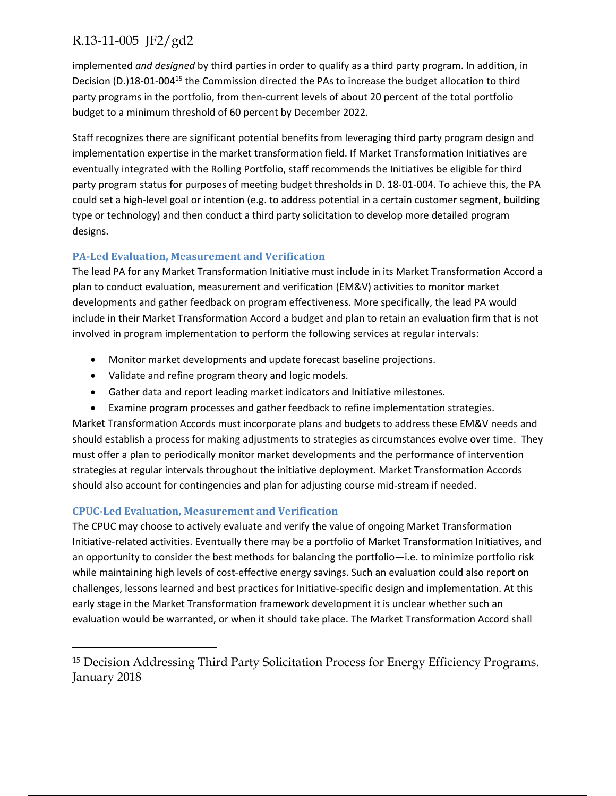implemented *and designed* by third parties in order to qualify as a third party program. In addition, in Decision (D.)18-01-004<sup>15</sup> the Commission directed the PAs to increase the budget allocation to third party programs in the portfolio, from then‐current levels of about 20 percent of the total portfolio budget to a minimum threshold of 60 percent by December 2022.

Staff recognizes there are significant potential benefits from leveraging third party program design and implementation expertise in the market transformation field. If Market Transformation Initiatives are eventually integrated with the Rolling Portfolio, staff recommends the Initiatives be eligible for third party program status for purposes of meeting budget thresholds in D. 18‐01‐004. To achieve this, the PA could set a high‐level goal or intention (e.g. to address potential in a certain customer segment, building type or technology) and then conduct a third party solicitation to develop more detailed program designs.

#### **PA‐Led Evaluation, Measurement and Verification**

The lead PA for any Market Transformation Initiative must include in its Market Transformation Accord a plan to conduct evaluation, measurement and verification (EM&V) activities to monitor market developments and gather feedback on program effectiveness. More specifically, the lead PA would include in their Market Transformation Accord a budget and plan to retain an evaluation firm that is not involved in program implementation to perform the following services at regular intervals:

- Monitor market developments and update forecast baseline projections.
- Validate and refine program theory and logic models.
- Gather data and report leading market indicators and Initiative milestones.
- Examine program processes and gather feedback to refine implementation strategies.

Market Transformation Accords must incorporate plans and budgets to address these EM&V needs and should establish a process for making adjustments to strategies as circumstances evolve over time. They must offer a plan to periodically monitor market developments and the performance of intervention strategies at regular intervals throughout the initiative deployment. Market Transformation Accords should also account for contingencies and plan for adjusting course mid‐stream if needed.

### **CPUC‐Led Evaluation, Measurement and Verification**

 $\overline{a}$ 

The CPUC may choose to actively evaluate and verify the value of ongoing Market Transformation Initiative‐related activities. Eventually there may be a portfolio of Market Transformation Initiatives, and an opportunity to consider the best methods for balancing the portfolio—i.e. to minimize portfolio risk while maintaining high levels of cost-effective energy savings. Such an evaluation could also report on challenges, lessons learned and best practices for Initiative‐specific design and implementation. At this early stage in the Market Transformation framework development it is unclear whether such an evaluation would be warranted, or when it should take place. The Market Transformation Accord shall

<sup>15</sup> Decision Addressing Third Party Solicitation Process for Energy Efficiency Programs. January 2018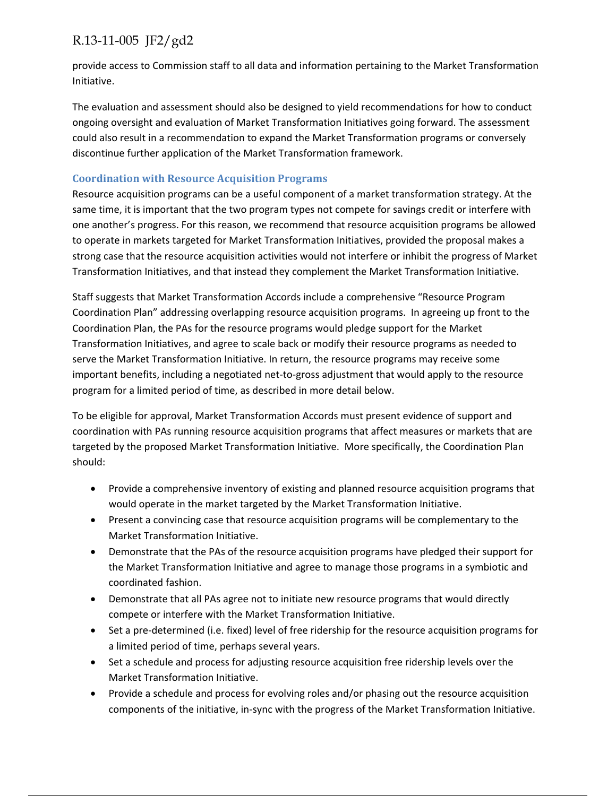provide access to Commission staff to all data and information pertaining to the Market Transformation Initiative.

The evaluation and assessment should also be designed to yield recommendations for how to conduct ongoing oversight and evaluation of Market Transformation Initiatives going forward. The assessment could also result in a recommendation to expand the Market Transformation programs or conversely discontinue further application of the Market Transformation framework.

#### **Coordination with Resource Acquisition Programs**

Resource acquisition programs can be a useful component of a market transformation strategy. At the same time, it is important that the two program types not compete for savings credit or interfere with one another's progress. For this reason, we recommend that resource acquisition programs be allowed to operate in markets targeted for Market Transformation Initiatives, provided the proposal makes a strong case that the resource acquisition activities would not interfere or inhibit the progress of Market Transformation Initiatives, and that instead they complement the Market Transformation Initiative.

Staff suggests that Market Transformation Accords include a comprehensive "Resource Program Coordination Plan" addressing overlapping resource acquisition programs. In agreeing up front to the Coordination Plan, the PAs for the resource programs would pledge support for the Market Transformation Initiatives, and agree to scale back or modify their resource programs as needed to serve the Market Transformation Initiative. In return, the resource programs may receive some important benefits, including a negotiated net-to-gross adjustment that would apply to the resource program for a limited period of time, as described in more detail below.

To be eligible for approval, Market Transformation Accords must present evidence of support and coordination with PAs running resource acquisition programs that affect measures or markets that are targeted by the proposed Market Transformation Initiative. More specifically, the Coordination Plan should:

- Provide a comprehensive inventory of existing and planned resource acquisition programs that would operate in the market targeted by the Market Transformation Initiative.
- Present a convincing case that resource acquisition programs will be complementary to the Market Transformation Initiative.
- Demonstrate that the PAs of the resource acquisition programs have pledged their support for the Market Transformation Initiative and agree to manage those programs in a symbiotic and coordinated fashion.
- Demonstrate that all PAs agree not to initiate new resource programs that would directly compete or interfere with the Market Transformation Initiative.
- Set a pre-determined (i.e. fixed) level of free ridership for the resource acquisition programs for a limited period of time, perhaps several years.
- Set a schedule and process for adjusting resource acquisition free ridership levels over the Market Transformation Initiative.
- Provide a schedule and process for evolving roles and/or phasing out the resource acquisition components of the initiative, in‐sync with the progress of the Market Transformation Initiative.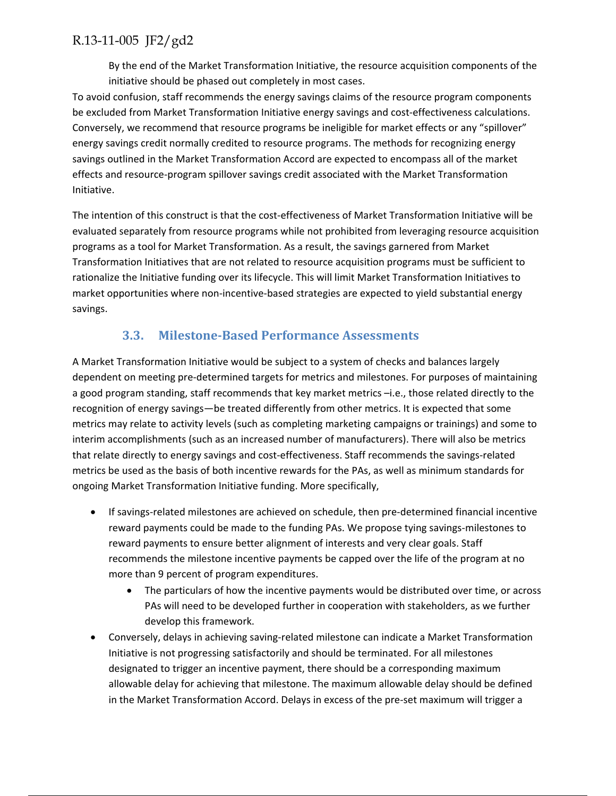By the end of the Market Transformation Initiative, the resource acquisition components of the initiative should be phased out completely in most cases.

To avoid confusion, staff recommends the energy savings claims of the resource program components be excluded from Market Transformation Initiative energy savings and cost-effectiveness calculations. Conversely, we recommend that resource programs be ineligible for market effects or any "spillover" energy savings credit normally credited to resource programs. The methods for recognizing energy savings outlined in the Market Transformation Accord are expected to encompass all of the market effects and resource‐program spillover savings credit associated with the Market Transformation Initiative.

The intention of this construct is that the cost‐effectiveness of Market Transformation Initiative will be evaluated separately from resource programs while not prohibited from leveraging resource acquisition programs as a tool for Market Transformation. As a result, the savings garnered from Market Transformation Initiatives that are not related to resource acquisition programs must be sufficient to rationalize the Initiative funding over its lifecycle. This will limit Market Transformation Initiatives to market opportunities where non-incentive-based strategies are expected to yield substantial energy savings.

## **3.3. Milestone‐Based Performance Assessments**

A Market Transformation Initiative would be subject to a system of checks and balances largely dependent on meeting pre‐determined targets for metrics and milestones. For purposes of maintaining a good program standing, staff recommends that key market metrics –i.e., those related directly to the recognition of energy savings—be treated differently from other metrics. It is expected that some metrics may relate to activity levels (such as completing marketing campaigns or trainings) and some to interim accomplishments (such as an increased number of manufacturers). There will also be metrics that relate directly to energy savings and cost-effectiveness. Staff recommends the savings-related metrics be used as the basis of both incentive rewards for the PAs, as well as minimum standards for ongoing Market Transformation Initiative funding. More specifically,

- If savings-related milestones are achieved on schedule, then pre-determined financial incentive reward payments could be made to the funding PAs. We propose tying savings‐milestones to reward payments to ensure better alignment of interests and very clear goals. Staff recommends the milestone incentive payments be capped over the life of the program at no more than 9 percent of program expenditures.
	- The particulars of how the incentive payments would be distributed over time, or across PAs will need to be developed further in cooperation with stakeholders, as we further develop this framework.
- Conversely, delays in achieving saving-related milestone can indicate a Market Transformation Initiative is not progressing satisfactorily and should be terminated. For all milestones designated to trigger an incentive payment, there should be a corresponding maximum allowable delay for achieving that milestone. The maximum allowable delay should be defined in the Market Transformation Accord. Delays in excess of the pre-set maximum will trigger a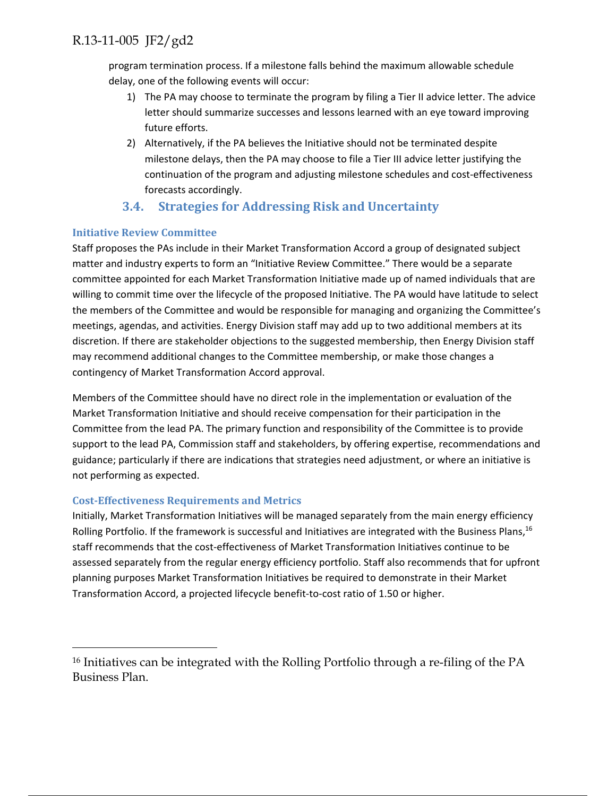program termination process. If a milestone falls behind the maximum allowable schedule delay, one of the following events will occur:

- 1) The PA may choose to terminate the program by filing a Tier II advice letter. The advice letter should summarize successes and lessons learned with an eye toward improving future efforts.
- 2) Alternatively, if the PA believes the Initiative should not be terminated despite milestone delays, then the PA may choose to file a Tier III advice letter justifying the continuation of the program and adjusting milestone schedules and cost‐effectiveness forecasts accordingly.

## **3.4. Strategies for Addressing Risk and Uncertainty**

#### **Initiative Review Committee**

Staff proposes the PAs include in their Market Transformation Accord a group of designated subject matter and industry experts to form an "Initiative Review Committee." There would be a separate committee appointed for each Market Transformation Initiative made up of named individuals that are willing to commit time over the lifecycle of the proposed Initiative. The PA would have latitude to select the members of the Committee and would be responsible for managing and organizing the Committee's meetings, agendas, and activities. Energy Division staff may add up to two additional members at its discretion. If there are stakeholder objections to the suggested membership, then Energy Division staff may recommend additional changes to the Committee membership, or make those changes a contingency of Market Transformation Accord approval.

Members of the Committee should have no direct role in the implementation or evaluation of the Market Transformation Initiative and should receive compensation for their participation in the Committee from the lead PA. The primary function and responsibility of the Committee is to provide support to the lead PA, Commission staff and stakeholders, by offering expertise, recommendations and guidance; particularly if there are indications that strategies need adjustment, or where an initiative is not performing as expected.

#### **Cost‐Effectiveness Requirements and Metrics**

 $\overline{a}$ 

Initially, Market Transformation Initiatives will be managed separately from the main energy efficiency Rolling Portfolio. If the framework is successful and Initiatives are integrated with the Business Plans,<sup>16</sup> staff recommends that the cost‐effectiveness of Market Transformation Initiatives continue to be assessed separately from the regular energy efficiency portfolio. Staff also recommends that for upfront planning purposes Market Transformation Initiatives be required to demonstrate in their Market Transformation Accord, a projected lifecycle benefit‐to‐cost ratio of 1.50 or higher.

<sup>16</sup> Initiatives can be integrated with the Rolling Portfolio through a re-filing of the PA Business Plan.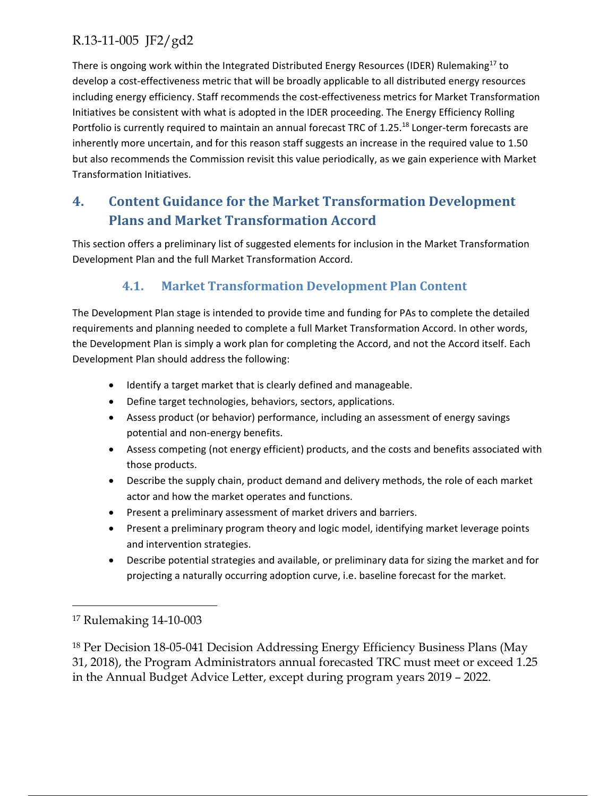There is ongoing work within the Integrated Distributed Energy Resources (IDER) Rulemaking<sup>17</sup> to develop a cost‐effectiveness metric that will be broadly applicable to all distributed energy resources including energy efficiency. Staff recommends the cost‐effectiveness metrics for Market Transformation Initiatives be consistent with what is adopted in the IDER proceeding. The Energy Efficiency Rolling Portfolio is currently required to maintain an annual forecast TRC of 1.25.<sup>18</sup> Longer-term forecasts are inherently more uncertain, and for this reason staff suggests an increase in the required value to 1.50 but also recommends the Commission revisit this value periodically, as we gain experience with Market Transformation Initiatives.

## **4. Content Guidance for the Market Transformation Development Plans and Market Transformation Accord**

This section offers a preliminary list of suggested elements for inclusion in the Market Transformation Development Plan and the full Market Transformation Accord.

## **4.1. Market Transformation Development Plan Content**

The Development Plan stage is intended to provide time and funding for PAs to complete the detailed requirements and planning needed to complete a full Market Transformation Accord. In other words, the Development Plan is simply a work plan for completing the Accord, and not the Accord itself. Each Development Plan should address the following:

- Identify a target market that is clearly defined and manageable.
- Define target technologies, behaviors, sectors, applications.
- Assess product (or behavior) performance, including an assessment of energy savings potential and non‐energy benefits.
- Assess competing (not energy efficient) products, and the costs and benefits associated with those products.
- Describe the supply chain, product demand and delivery methods, the role of each market actor and how the market operates and functions.
- Present a preliminary assessment of market drivers and barriers.
- Present a preliminary program theory and logic model, identifying market leverage points and intervention strategies.
- Describe potential strategies and available, or preliminary data for sizing the market and for projecting a naturally occurring adoption curve, i.e. baseline forecast for the market.

 $\overline{a}$ 

18 Per Decision 18-05-041 Decision Addressing Energy Efficiency Business Plans (May 31, 2018), the Program Administrators annual forecasted TRC must meet or exceed 1.25 in the Annual Budget Advice Letter, except during program years 2019 – 2022.

<sup>17</sup> Rulemaking 14-10-003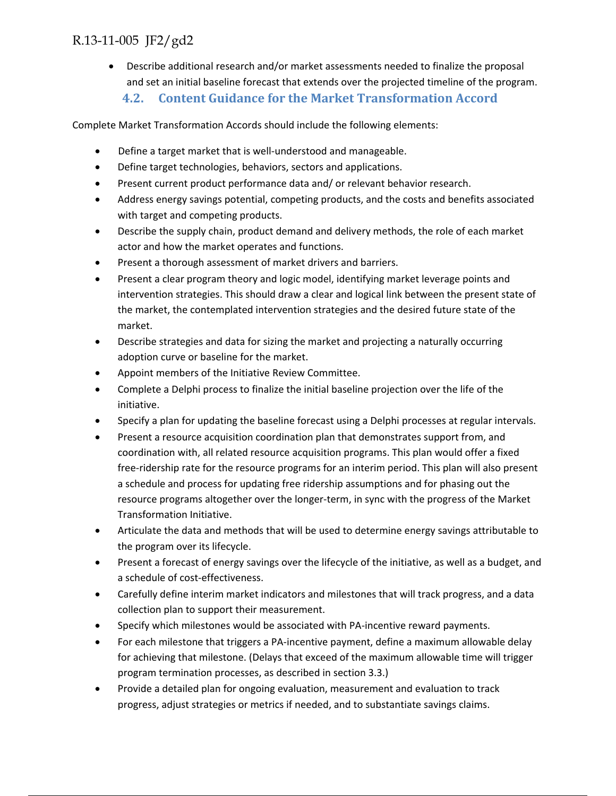Describe additional research and/or market assessments needed to finalize the proposal and set an initial baseline forecast that extends over the projected timeline of the program.

**4.2. Content Guidance for the Market Transformation Accord** 

Complete Market Transformation Accords should include the following elements:

- Define a target market that is well‐understood and manageable.
- Define target technologies, behaviors, sectors and applications.
- Present current product performance data and/ or relevant behavior research.
- Address energy savings potential, competing products, and the costs and benefits associated with target and competing products.
- Describe the supply chain, product demand and delivery methods, the role of each market actor and how the market operates and functions.
- Present a thorough assessment of market drivers and barriers.
- Present a clear program theory and logic model, identifying market leverage points and intervention strategies. This should draw a clear and logical link between the present state of the market, the contemplated intervention strategies and the desired future state of the market.
- Describe strategies and data for sizing the market and projecting a naturally occurring adoption curve or baseline for the market.
- Appoint members of the Initiative Review Committee.
- Complete a Delphi process to finalize the initial baseline projection over the life of the initiative.
- Specify a plan for updating the baseline forecast using a Delphi processes at regular intervals.
- Present a resource acquisition coordination plan that demonstrates support from, and coordination with, all related resource acquisition programs. This plan would offer a fixed free‐ridership rate for the resource programs for an interim period. This plan will also present a schedule and process for updating free ridership assumptions and for phasing out the resource programs altogether over the longer-term, in sync with the progress of the Market Transformation Initiative.
- Articulate the data and methods that will be used to determine energy savings attributable to the program over its lifecycle.
- Present a forecast of energy savings over the lifecycle of the initiative, as well as a budget, and a schedule of cost-effectiveness.
- Carefully define interim market indicators and milestones that will track progress, and a data collection plan to support their measurement.
- Specify which milestones would be associated with PA‐incentive reward payments.
- For each milestone that triggers a PA‐incentive payment, define a maximum allowable delay for achieving that milestone. (Delays that exceed of the maximum allowable time will trigger program termination processes, as described in section 3.3.)
- Provide a detailed plan for ongoing evaluation, measurement and evaluation to track progress, adjust strategies or metrics if needed, and to substantiate savings claims.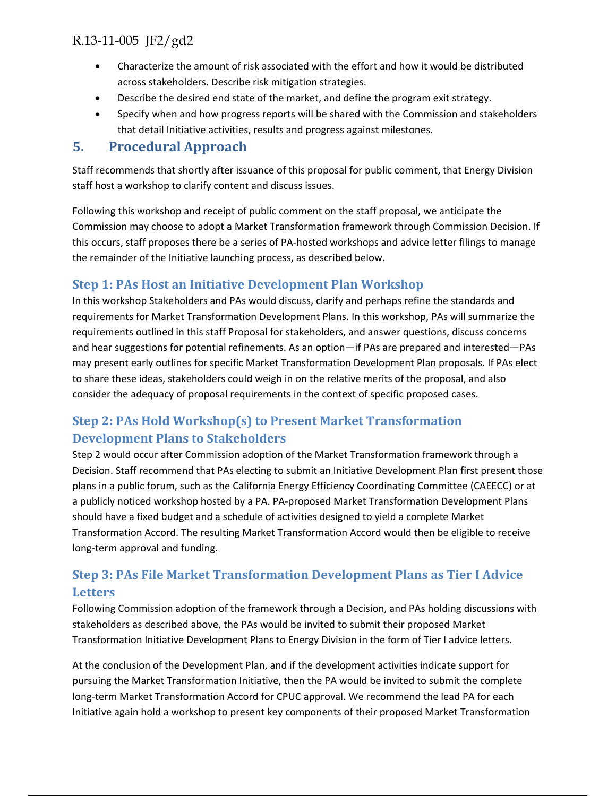- Characterize the amount of risk associated with the effort and how it would be distributed across stakeholders. Describe risk mitigation strategies.
- Describe the desired end state of the market, and define the program exit strategy.
- Specify when and how progress reports will be shared with the Commission and stakeholders that detail Initiative activities, results and progress against milestones.

### **5. Procedural Approach**

Staff recommends that shortly after issuance of this proposal for public comment, that Energy Division staff host a workshop to clarify content and discuss issues.

Following this workshop and receipt of public comment on the staff proposal, we anticipate the Commission may choose to adopt a Market Transformation framework through Commission Decision. If this occurs, staff proposes there be a series of PA‐hosted workshops and advice letter filings to manage the remainder of the Initiative launching process, as described below.

## **Step 1: PAs Host an Initiative Development Plan Workshop**

In this workshop Stakeholders and PAs would discuss, clarify and perhaps refine the standards and requirements for Market Transformation Development Plans. In this workshop, PAs will summarize the requirements outlined in this staff Proposal for stakeholders, and answer questions, discuss concerns and hear suggestions for potential refinements. As an option—if PAs are prepared and interested—PAs may present early outlines for specific Market Transformation Development Plan proposals. If PAs elect to share these ideas, stakeholders could weigh in on the relative merits of the proposal, and also consider the adequacy of proposal requirements in the context of specific proposed cases.

## **Step 2: PAs Hold Workshop(s) to Present Market Transformation Development Plans to Stakeholders**

Step 2 would occur after Commission adoption of the Market Transformation framework through a Decision. Staff recommend that PAs electing to submit an Initiative Development Plan first present those plans in a public forum, such as the California Energy Efficiency Coordinating Committee (CAEECC) or at a publicly noticed workshop hosted by a PA. PA‐proposed Market Transformation Development Plans should have a fixed budget and a schedule of activities designed to yield a complete Market Transformation Accord. The resulting Market Transformation Accord would then be eligible to receive long‐term approval and funding.

## **Step 3: PAs File Market Transformation Development Plans as Tier I Advice Letters**

Following Commission adoption of the framework through a Decision, and PAs holding discussions with stakeholders as described above, the PAs would be invited to submit their proposed Market Transformation Initiative Development Plans to Energy Division in the form of Tier I advice letters.

At the conclusion of the Development Plan, and if the development activities indicate support for pursuing the Market Transformation Initiative, then the PA would be invited to submit the complete long‐term Market Transformation Accord for CPUC approval. We recommend the lead PA for each Initiative again hold a workshop to present key components of their proposed Market Transformation